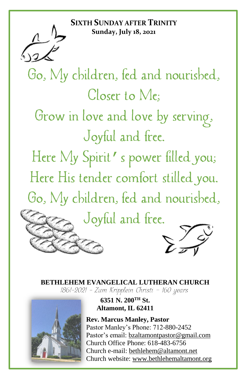**SIXTH SUNDAY AFTER TRINITY Sunday, July 18, 2021**

Go, My children, fed and nourished, Closer to Me: Grow in love and love by serving, Joyful and free. Here My Spirit's power filled you; Here His tender comfort stilled you. Go, My children, fed and nourished, Joyful and free.

# **BETHLEHEM EVANGELICAL LUTHERAN CHURCH**<br>1861-2021 - Zum Kripplein Christi - 160 years



### **6351 N. 200TH St. Altamont, IL 62411**

**Rev. Marcus Manley, Pastor** Pastor Manley's Phone: 712-880-2452 Pastor's email[: bzaltamontpastor@gmail.com](mailto:bzaltamontpastor@gmail.com) Church Office Phone: 618-483-6756 Church e-mail: [bethlehem@altamont.net](mailto:bethlehem@altamont.net)  Church website: [www.bethlehemaltamont.org](http://www.bethlehemaltamont.org/)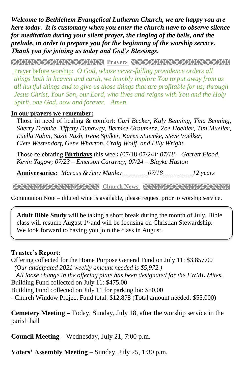*Welcome to Bethlehem Evangelical Lutheran Church, we are happy you are here today. It is customary when you enter the church nave to observe silence for meditation during your silent prayer, the ringing of the bells, and the prelude, in order to prepare you for the beginning of the worship service. Thank you for joining us today and God's Blessings.*

**PRAYARANA NATURAL PROTECT PARAMETERING CONTROLLER** 

Prayer before worship: *O God, whose never-failing providence orders all things both in heaven and earth, we humbly implore You to put away from us all hurtful things and to give us those things that are profitable for us; through Jesus Christ, Your Son, our Lord, who lives and reigns with You and the Holy Spirit, one God, now and forever. Amen* 

#### **In our prayers we remember:**

Those in need of healing & comfort: *Carl Becker, Kaly Benning, Tina Benning, Sherry Dahnke, Tiffany Dunaway, Bernice Graumenz, Zoe Hoehler, Tim Mueller, Luella Rubin, Susie Rush, Irene Spilker, Karen Stuemke, Steve Voelker, Clete Westendorf, Gene Wharton, Craig Wolff, and Lilly Wright.*

Those celebrating **Birthdays** this week (07/18-07/24*): 07/18 – Garrett Flood, Kevin Yagow; 07/23 – Emerson Caraway; 07/24 – Blayke Huston*

**Anniversaries:** *Marcus & Amy Manley*................07/18...................12 years

**Church News State News Represent And Represent News State State State State State State State State State State Sta** 

Communion Note – diluted wine is available, please request prior to worship service.

**Adult Bible Study** will be taking a short break during the month of July. Bible class will resume August 1<sup>st</sup> and will be focusing on Christian Stewardship. We look forward to having you join the class in August.

#### **Trustee's Report:**

Offering collected for the Home Purpose General Fund on July 11: \$3,857.00  *(Our anticipated 2021 weekly amount needed is \$5,972.) All loose change in the offering plate has been designated for the LWML Mites.* Building Fund collected on July 11: \$475.00 Building Fund collected on July 11 for parking lot: \$50.00 - Church Window Project Fund total: \$12,878 (Total amount needed: \$55,000)

**Cemetery Meeting –** Today, Sunday, July 18, after the worship service in the parish hall

**Council Meeting** – Wednesday, July 21, 7:00 p.m.

**Voters' Assembly Meeting** – Sunday, July 25, 1:30 p.m.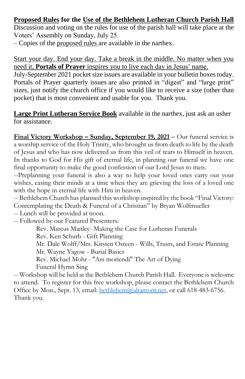#### **Proposed Rules for the Use of the Bethlehem Lutheran Church Parish Hall**

Discussion and voting on the rules for use of the parish hall will take place at the Voters' Assembly on Sunday, July 25.

– Copies of the proposed rules are available in the narthex.

Start your day. End your day. Take a break in the middle. No matter when you need it, **Portals of Prayer** inspires you to live each day in Jesus' name.

July-September 2021 pocket size issues are available in your bulletin boxes today. Portals of Prayer quarterly issues are also printed in "digest" and "large print" sizes, just notify the church office if you would like to receive a size (other than pocket) that is most convenient and usable for you. Thank you.

**Large Print Lutheran Service Book** available in the narthex, just ask an usher for assistance.

**Final Victory Workshop – Sunday, September 19, 2021 –** Our funeral service is a worship service of the Holy Trinity, who brought us from death to life by the death of Jesus and who has now delivered us from this veil of tears to Himself in heaven. In thanks to God for His gift of eternal life, in planning our funeral we have one final opportunity to make the good confession of our Lord Jesus to men.

--Preplanning your funeral is also a way to help your loved ones carry out your wishes, easing their minds at a time when they are grieving the loss of a loved one with the hope in eternal life with Him in heaven.

-- Bethlehem Church has planned this workshop inspired by the book "Final Victory: Contemplating the Death & Funeral of a Christian" by Bryan Wolfmueller

-- Lunch will be provided at noon.

-- Followed by our Featured Presenters:

Rev. Marcus Manley- Making the Case for Lutheran Funerals

Rev. Ken Schurb - Gift Planning

Mr. Dale Wolff/Mrs. Kirsten Osteen - Wills, Trusts, and Estate Planning Mr. Wayne Yagow - Burial Basics

Rev. Michael Mohr - "Ars moriendi" The Art of Dying Funeral Hymn Sing

-- Workshop will be held at the Bethlehem Church Parish Hall. Everyone is welcome to attend. To register for this free workshop, please contact the Bethlehem Church Office by Mon., Sept. 13, email: **bethlehem**@altamont.net, or call 618-483-6756. Thank you.